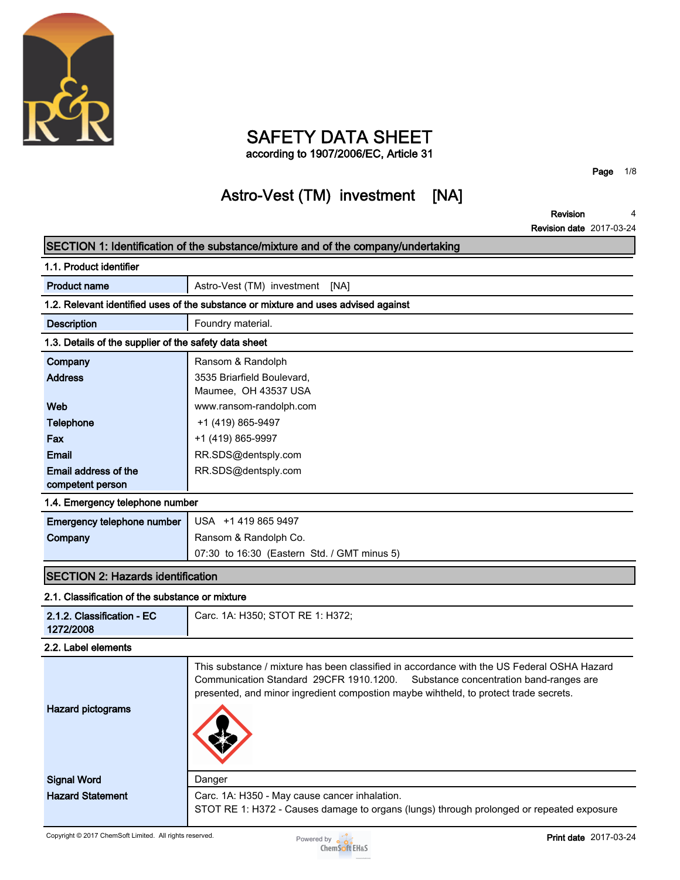

# **SAFETY DATA SHEET**

**according to 1907/2006/EC, Article 31**

**Page 1/8**

## **Astro-Vest (TM) investment [NA]**

**Revision 4**

**Revision date 2017-03-24**

|                                                       | SECTION 1: Identification of the substance/mixture and of the company/undertaking                                                                                                                                                                                        |
|-------------------------------------------------------|--------------------------------------------------------------------------------------------------------------------------------------------------------------------------------------------------------------------------------------------------------------------------|
| 1.1. Product identifier                               |                                                                                                                                                                                                                                                                          |
| <b>Product name</b>                                   | Astro-Vest (TM) investment [NA]                                                                                                                                                                                                                                          |
|                                                       | 1.2. Relevant identified uses of the substance or mixture and uses advised against                                                                                                                                                                                       |
| <b>Description</b>                                    | Foundry material.                                                                                                                                                                                                                                                        |
| 1.3. Details of the supplier of the safety data sheet |                                                                                                                                                                                                                                                                          |
| Company                                               | Ransom & Randolph                                                                                                                                                                                                                                                        |
| <b>Address</b>                                        | 3535 Briarfield Boulevard,<br>Maumee, OH 43537 USA                                                                                                                                                                                                                       |
| Web                                                   | www.ransom-randolph.com                                                                                                                                                                                                                                                  |
| <b>Telephone</b>                                      | +1 (419) 865-9497                                                                                                                                                                                                                                                        |
| Fax                                                   | +1 (419) 865-9997                                                                                                                                                                                                                                                        |
| Email                                                 | RR.SDS@dentsply.com                                                                                                                                                                                                                                                      |
| Email address of the<br>competent person              | RR.SDS@dentsply.com                                                                                                                                                                                                                                                      |
| 1.4. Emergency telephone number                       |                                                                                                                                                                                                                                                                          |
| Emergency telephone number                            | USA +1 419 865 9497                                                                                                                                                                                                                                                      |
| Company                                               | Ransom & Randolph Co.                                                                                                                                                                                                                                                    |
|                                                       | 07:30 to 16:30 (Eastern Std. / GMT minus 5)                                                                                                                                                                                                                              |
| <b>SECTION 2: Hazards identification</b>              |                                                                                                                                                                                                                                                                          |
| 2.1. Classification of the substance or mixture       |                                                                                                                                                                                                                                                                          |
| 2.1.2. Classification - EC<br>1272/2008               | Carc. 1A: H350; STOT RE 1: H372;                                                                                                                                                                                                                                         |
| 2.2. Label elements                                   |                                                                                                                                                                                                                                                                          |
| <b>Hazard pictograms</b>                              | This substance / mixture has been classified in accordance with the US Federal OSHA Hazard<br>Communication Standard 29CFR 1910.1200.<br>Substance concentration band-ranges are<br>presented, and minor ingredient compostion maybe wihtheld, to protect trade secrets. |
| <b>Signal Word</b>                                    | Danger                                                                                                                                                                                                                                                                   |
| <b>Hazard Statement</b>                               | Carc. 1A: H350 - May cause cancer inhalation.<br>STOT RE 1: H372 - Causes damage to organs (lungs) through prolonged or repeated exposure                                                                                                                                |

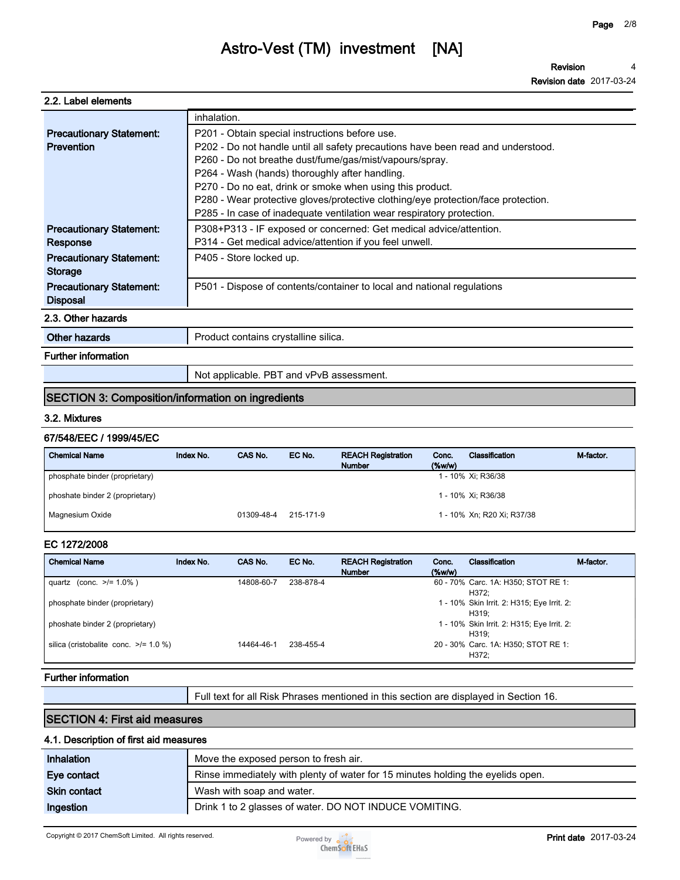**Revision 4**

**Revision date 2017-03-24**

#### **2.2. Label elements**

|                                 | inhalation.                                                                       |
|---------------------------------|-----------------------------------------------------------------------------------|
| <b>Precautionary Statement:</b> | P201 - Obtain special instructions before use.                                    |
| Prevention                      | P202 - Do not handle until all safety precautions have been read and understood.  |
|                                 | P260 - Do not breathe dust/fume/gas/mist/vapours/spray.                           |
|                                 | P264 - Wash (hands) thoroughly after handling.                                    |
|                                 | P270 - Do no eat, drink or smoke when using this product.                         |
|                                 | P280 - Wear protective gloves/protective clothing/eye protection/face protection. |
|                                 | P285 - In case of inadequate ventilation wear respiratory protection.             |
| <b>Precautionary Statement:</b> | P308+P313 - IF exposed or concerned: Get medical advice/attention.                |
| Response                        | P314 - Get medical advice/attention if you feel unwell.                           |
| <b>Precautionary Statement:</b> | P405 - Store locked up.                                                           |
| <b>Storage</b>                  |                                                                                   |
| <b>Precautionary Statement:</b> | P501 - Dispose of contents/container to local and national regulations            |
| <b>Disposal</b>                 |                                                                                   |
| 2.3. Other hazards              |                                                                                   |
| Other hazards                   | Product contains crystalline silica.                                              |
| <b>Further information</b>      |                                                                                   |

**Not applicable. PBT and vPvB assessment.**

### **SECTION 3: Composition/information on ingredients**

### **3.2. Mixtures**

#### **67/548/EEC / 1999/45/EC**

| <b>Chemical Name</b>            | Index No. | CAS No.    | EC No.    | <b>REACH Registration</b><br><b>Number</b> | Conc.<br>$(\%w/w)$ | Classification             | M-factor. |
|---------------------------------|-----------|------------|-----------|--------------------------------------------|--------------------|----------------------------|-----------|
| phosphate binder (proprietary)  |           |            |           |                                            |                    | 1 - 10% Xi; R36/38         |           |
| phoshate binder 2 (proprietary) |           |            |           |                                            |                    | 1 - 10% Xi; R36/38         |           |
| Magnesium Oxide                 |           | 01309-48-4 | 215-171-9 |                                            |                    | 1 - 10% Xn; R20 Xi; R37/38 |           |

### **EC 1272/2008**

| <b>Chemical Name</b>                       | Index No. | CAS No.    | EC No.    | <b>REACH Registration</b><br><b>Number</b> | Conc.<br>$(\%w/w)$ | Classification                                      | M-factor |
|--------------------------------------------|-----------|------------|-----------|--------------------------------------------|--------------------|-----------------------------------------------------|----------|
| quartz (conc. $\ge$ /= 1.0%)               |           | 14808-60-7 | 238-878-4 |                                            |                    | 60 - 70% Carc. 1A: H350; STOT RE 1:<br>H372:        |          |
| phosphate binder (proprietary)             |           |            |           |                                            |                    | 1 - 10% Skin Irrit. 2: H315; Eye Irrit. 2:<br>H319: |          |
| phoshate binder 2 (proprietary)            |           |            |           |                                            |                    | 1 - 10% Skin Irrit. 2: H315; Eye Irrit. 2:<br>H319: |          |
| silica (cristobalite conc. $\ge$ /= 1.0 %) |           | 14464-46-1 | 238-455-4 |                                            |                    | 20 - 30% Carc. 1A: H350; STOT RE 1:<br>H372:        |          |

#### **Further information**

**Full text for all Risk Phrases mentioned in this section are displayed in Section 16.**

### **SECTION 4: First aid measures**

### **4.1. Description of first aid measures**

| <b>Inhalation</b>   | Move the exposed person to fresh air.                                           |
|---------------------|---------------------------------------------------------------------------------|
| Eye contact         | Rinse immediately with plenty of water for 15 minutes holding the eyelids open. |
| <b>Skin contact</b> | Wash with soap and water.                                                       |
| Ingestion           | Drink 1 to 2 glasses of water. DO NOT INDUCE VOMITING.                          |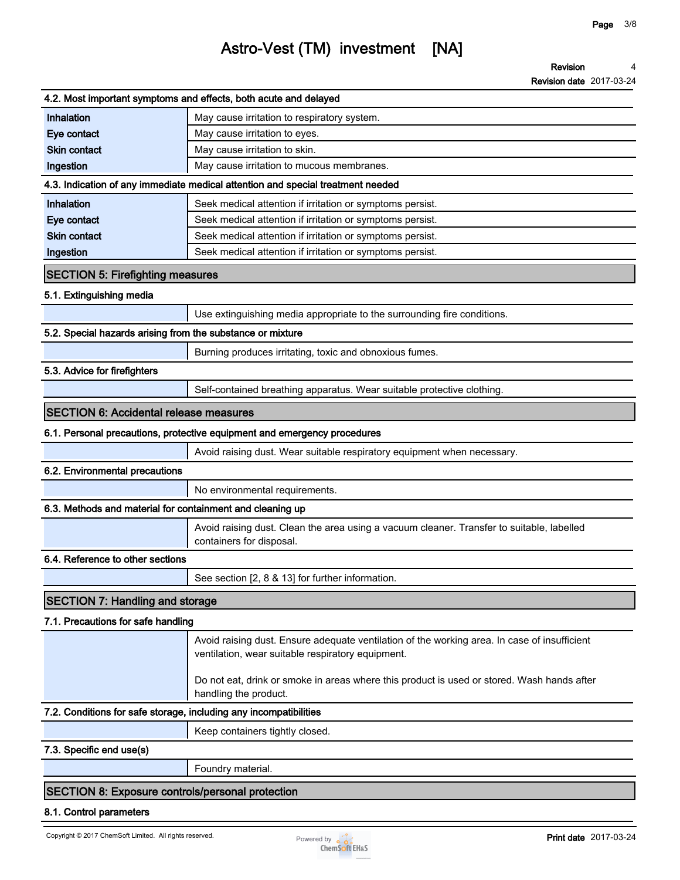**Revision date 2017-03-24**

|                                                                   | 4.2. Most important symptoms and effects, both acute and delayed                                                                                                                                                                                |
|-------------------------------------------------------------------|-------------------------------------------------------------------------------------------------------------------------------------------------------------------------------------------------------------------------------------------------|
| Inhalation                                                        | May cause irritation to respiratory system.                                                                                                                                                                                                     |
| Eye contact                                                       | May cause irritation to eyes.                                                                                                                                                                                                                   |
| <b>Skin contact</b>                                               | May cause irritation to skin.                                                                                                                                                                                                                   |
| Ingestion                                                         | May cause irritation to mucous membranes.                                                                                                                                                                                                       |
|                                                                   | 4.3. Indication of any immediate medical attention and special treatment needed                                                                                                                                                                 |
| Inhalation                                                        | Seek medical attention if irritation or symptoms persist.                                                                                                                                                                                       |
| Eye contact                                                       | Seek medical attention if irritation or symptoms persist.                                                                                                                                                                                       |
| <b>Skin contact</b>                                               | Seek medical attention if irritation or symptoms persist.                                                                                                                                                                                       |
| Ingestion                                                         | Seek medical attention if irritation or symptoms persist.                                                                                                                                                                                       |
| <b>SECTION 5: Firefighting measures</b>                           |                                                                                                                                                                                                                                                 |
| 5.1. Extinguishing media                                          |                                                                                                                                                                                                                                                 |
|                                                                   | Use extinguishing media appropriate to the surrounding fire conditions.                                                                                                                                                                         |
| 5.2. Special hazards arising from the substance or mixture        |                                                                                                                                                                                                                                                 |
|                                                                   | Burning produces irritating, toxic and obnoxious fumes.                                                                                                                                                                                         |
| 5.3. Advice for firefighters                                      |                                                                                                                                                                                                                                                 |
|                                                                   | Self-contained breathing apparatus. Wear suitable protective clothing.                                                                                                                                                                          |
| <b>SECTION 6: Accidental release measures</b>                     |                                                                                                                                                                                                                                                 |
|                                                                   | 6.1. Personal precautions, protective equipment and emergency procedures                                                                                                                                                                        |
|                                                                   | Avoid raising dust. Wear suitable respiratory equipment when necessary.                                                                                                                                                                         |
| 6.2. Environmental precautions                                    |                                                                                                                                                                                                                                                 |
|                                                                   | No environmental requirements.                                                                                                                                                                                                                  |
| 6.3. Methods and material for containment and cleaning up         |                                                                                                                                                                                                                                                 |
|                                                                   | Avoid raising dust. Clean the area using a vacuum cleaner. Transfer to suitable, labelled<br>containers for disposal.                                                                                                                           |
| 6.4. Reference to other sections                                  |                                                                                                                                                                                                                                                 |
|                                                                   | See section [2, 8 & 13] for further information.                                                                                                                                                                                                |
| <b>SECTION 7: Handling and storage</b>                            |                                                                                                                                                                                                                                                 |
| 7.1. Precautions for safe handling                                |                                                                                                                                                                                                                                                 |
|                                                                   | Avoid raising dust. Ensure adequate ventilation of the working area. In case of insufficient<br>ventilation, wear suitable respiratory equipment.<br>Do not eat, drink or smoke in areas where this product is used or stored. Wash hands after |
| 7.2. Conditions for safe storage, including any incompatibilities | handling the product.                                                                                                                                                                                                                           |
|                                                                   | Keep containers tightly closed.                                                                                                                                                                                                                 |
| 7.3. Specific end use(s)                                          |                                                                                                                                                                                                                                                 |
|                                                                   |                                                                                                                                                                                                                                                 |
|                                                                   | Foundry material.                                                                                                                                                                                                                               |
| <b>SECTION 8: Exposure controls/personal protection</b>           |                                                                                                                                                                                                                                                 |
| 8.1. Control parameters                                           |                                                                                                                                                                                                                                                 |

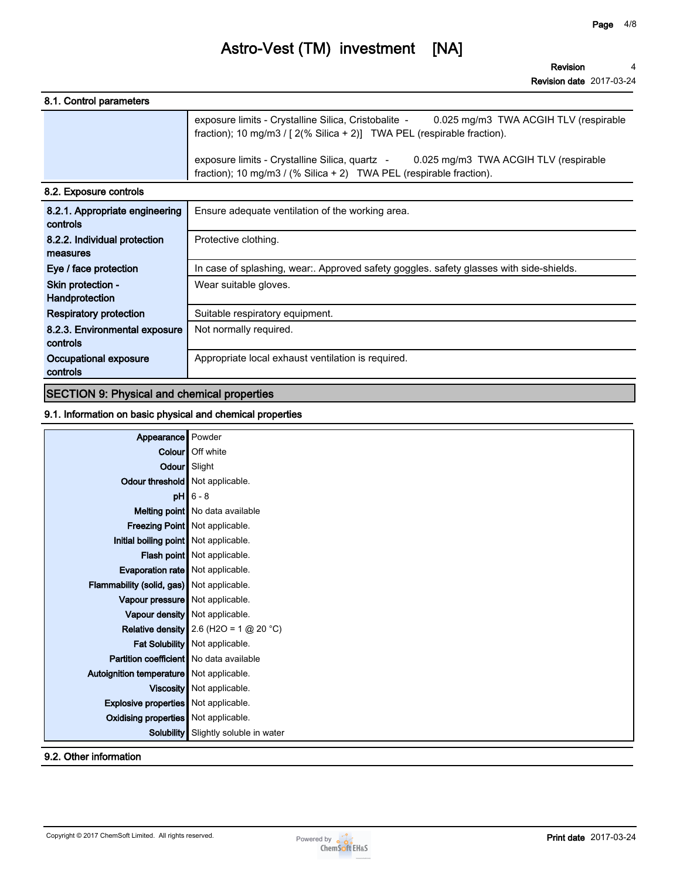**Revision 4**

**Revision date 2017-03-24**

| 8.1. Control parameters |                                                                                                                                                                            |
|-------------------------|----------------------------------------------------------------------------------------------------------------------------------------------------------------------------|
|                         | exposure limits - Crystalline Silica, Cristobalite -<br>0.025 mg/m3 TWA ACGIH TLV (respirable<br>fraction); 10 mg/m3 / $[2(\% Silica + 2)]$ TWA PEL (respirable fraction). |
|                         | exposure limits - Crystalline Silica, quartz - 0.025 mg/m3 TWA ACGIH TLV (respirable<br>fraction); 10 mg/m3 / (% Silica + 2) TWA PEL (respirable fraction).                |
| 8.2. Exposure controls  |                                                                                                                                                                            |
|                         | 8.2.1 Appropriate engineering L Ensure adequate ventilation of the working area                                                                                            |

| 8.2.1. Appropriate engineering<br>controls | Ensure adequate ventilation of the working area.                                        |
|--------------------------------------------|-----------------------------------------------------------------------------------------|
| 8.2.2. Individual protection               | Protective clothing.                                                                    |
| measures                                   |                                                                                         |
| Eye / face protection                      | In case of splashing, wear:. Approved safety goggles. safety glasses with side-shields. |
| Skin protection -                          | Wear suitable gloves.                                                                   |
| Handprotection                             |                                                                                         |
| <b>Respiratory protection</b>              | Suitable respiratory equipment.                                                         |
| 8.2.3. Environmental exposure              | Not normally required.                                                                  |
| controls                                   |                                                                                         |
| Occupational exposure                      | Appropriate local exhaust ventilation is required.                                      |
| controls                                   |                                                                                         |

### **SECTION 9: Physical and chemical properties**

### **9.1. Information on basic physical and chemical properties**

| Appearance Powder                           |                                                 |
|---------------------------------------------|-------------------------------------------------|
|                                             | Colour   Off white                              |
|                                             | Odour Slight                                    |
| Odour threshold Not applicable.             |                                                 |
|                                             | $pH$ 6 - 8                                      |
|                                             | Melting point No data available                 |
|                                             | Freezing Point Not applicable.                  |
| Initial boiling point Not applicable.       |                                                 |
|                                             | Flash point Not applicable.                     |
| Evaporation rate   Not applicable.          |                                                 |
| Flammability (solid, gas) Not applicable.   |                                                 |
| Vapour pressure   Not applicable.           |                                                 |
|                                             | Vapour density   Not applicable.                |
|                                             | <b>Relative density</b> 2.6 (H2O = 1 $@$ 20 °C) |
|                                             | Fat Solubility Not applicable.                  |
| Partition coefficient No data available     |                                                 |
| Autoignition temperature Not applicable.    |                                                 |
|                                             | Viscosity Not applicable.                       |
| <b>Explosive properties</b> Not applicable. |                                                 |
| Oxidising properties Not applicable.        |                                                 |
| Solubility                                  | Slightly soluble in water                       |
|                                             |                                                 |

### **9.2. Other information**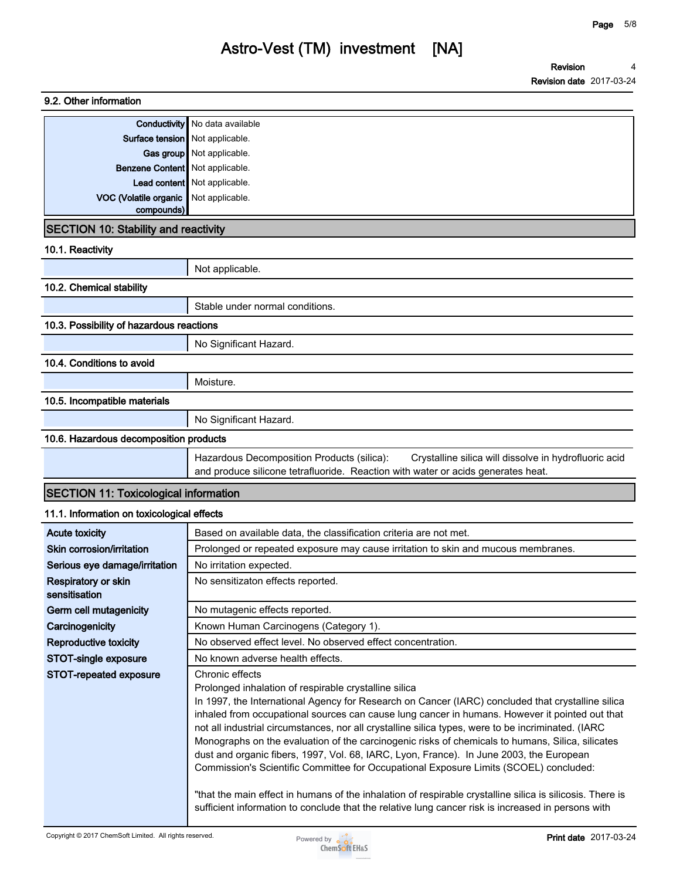| 9.2. Other information                       |                                                                                                                                                                                                                                                                                                                                                                                                                                                                                                                                                                                                                                                                               |
|----------------------------------------------|-------------------------------------------------------------------------------------------------------------------------------------------------------------------------------------------------------------------------------------------------------------------------------------------------------------------------------------------------------------------------------------------------------------------------------------------------------------------------------------------------------------------------------------------------------------------------------------------------------------------------------------------------------------------------------|
|                                              | <b>Conductivity</b> No data available                                                                                                                                                                                                                                                                                                                                                                                                                                                                                                                                                                                                                                         |
| Surface tension Not applicable.              |                                                                                                                                                                                                                                                                                                                                                                                                                                                                                                                                                                                                                                                                               |
|                                              | Gas group Not applicable.                                                                                                                                                                                                                                                                                                                                                                                                                                                                                                                                                                                                                                                     |
| <b>Benzene Content</b> Not applicable.       |                                                                                                                                                                                                                                                                                                                                                                                                                                                                                                                                                                                                                                                                               |
|                                              | Lead content Not applicable.                                                                                                                                                                                                                                                                                                                                                                                                                                                                                                                                                                                                                                                  |
| VOC (Volatile organic<br>compounds)          | Not applicable.                                                                                                                                                                                                                                                                                                                                                                                                                                                                                                                                                                                                                                                               |
| <b>SECTION 10: Stability and reactivity</b>  |                                                                                                                                                                                                                                                                                                                                                                                                                                                                                                                                                                                                                                                                               |
| 10.1. Reactivity                             |                                                                                                                                                                                                                                                                                                                                                                                                                                                                                                                                                                                                                                                                               |
|                                              | Not applicable.                                                                                                                                                                                                                                                                                                                                                                                                                                                                                                                                                                                                                                                               |
| 10.2. Chemical stability                     |                                                                                                                                                                                                                                                                                                                                                                                                                                                                                                                                                                                                                                                                               |
|                                              | Stable under normal conditions.                                                                                                                                                                                                                                                                                                                                                                                                                                                                                                                                                                                                                                               |
| 10.3. Possibility of hazardous reactions     |                                                                                                                                                                                                                                                                                                                                                                                                                                                                                                                                                                                                                                                                               |
|                                              | No Significant Hazard.                                                                                                                                                                                                                                                                                                                                                                                                                                                                                                                                                                                                                                                        |
| 10.4. Conditions to avoid                    |                                                                                                                                                                                                                                                                                                                                                                                                                                                                                                                                                                                                                                                                               |
|                                              | Moisture.                                                                                                                                                                                                                                                                                                                                                                                                                                                                                                                                                                                                                                                                     |
| 10.5. Incompatible materials                 |                                                                                                                                                                                                                                                                                                                                                                                                                                                                                                                                                                                                                                                                               |
|                                              | No Significant Hazard.                                                                                                                                                                                                                                                                                                                                                                                                                                                                                                                                                                                                                                                        |
| 10.6. Hazardous decomposition products       |                                                                                                                                                                                                                                                                                                                                                                                                                                                                                                                                                                                                                                                                               |
|                                              | Hazardous Decomposition Products (silica):<br>Crystalline silica will dissolve in hydrofluoric acid<br>and produce silicone tetrafluoride. Reaction with water or acids generates heat.                                                                                                                                                                                                                                                                                                                                                                                                                                                                                       |
| <b>SECTION 11: Toxicological information</b> |                                                                                                                                                                                                                                                                                                                                                                                                                                                                                                                                                                                                                                                                               |
| 11.1. Information on toxicological effects   |                                                                                                                                                                                                                                                                                                                                                                                                                                                                                                                                                                                                                                                                               |
| <b>Acute toxicity</b>                        | Based on available data, the classification criteria are not met.                                                                                                                                                                                                                                                                                                                                                                                                                                                                                                                                                                                                             |
| Skin corrosion/irritation                    | Prolonged or repeated exposure may cause irritation to skin and mucous membranes.                                                                                                                                                                                                                                                                                                                                                                                                                                                                                                                                                                                             |
| Serious eye damage/irritation                | No irritation expected.                                                                                                                                                                                                                                                                                                                                                                                                                                                                                                                                                                                                                                                       |
| Respiratory or skin<br>sensitisation         | No sensitizaton effects reported.                                                                                                                                                                                                                                                                                                                                                                                                                                                                                                                                                                                                                                             |
| Germ cell mutagenicity                       | No mutagenic effects reported.                                                                                                                                                                                                                                                                                                                                                                                                                                                                                                                                                                                                                                                |
| Carcinogenicity                              | Known Human Carcinogens (Category 1).                                                                                                                                                                                                                                                                                                                                                                                                                                                                                                                                                                                                                                         |
| Reproductive toxicity                        | No observed effect level. No observed effect concentration.                                                                                                                                                                                                                                                                                                                                                                                                                                                                                                                                                                                                                   |
| STOT-single exposure                         | No known adverse health effects.                                                                                                                                                                                                                                                                                                                                                                                                                                                                                                                                                                                                                                              |
| STOT-repeated exposure                       | Chronic effects<br>Prolonged inhalation of respirable crystalline silica<br>In 1997, the International Agency for Research on Cancer (IARC) concluded that crystalline silica<br>inhaled from occupational sources can cause lung cancer in humans. However it pointed out that<br>not all industrial circumstances, nor all crystalline silica types, were to be incriminated. (IARC<br>Monographs on the evaluation of the carcinogenic risks of chemicals to humans, Silica, silicates<br>dust and organic fibers, 1997, Vol. 68, IARC, Lyon, France). In June 2003, the European<br>Commission's Scientific Committee for Occupational Exposure Limits (SCOEL) concluded: |

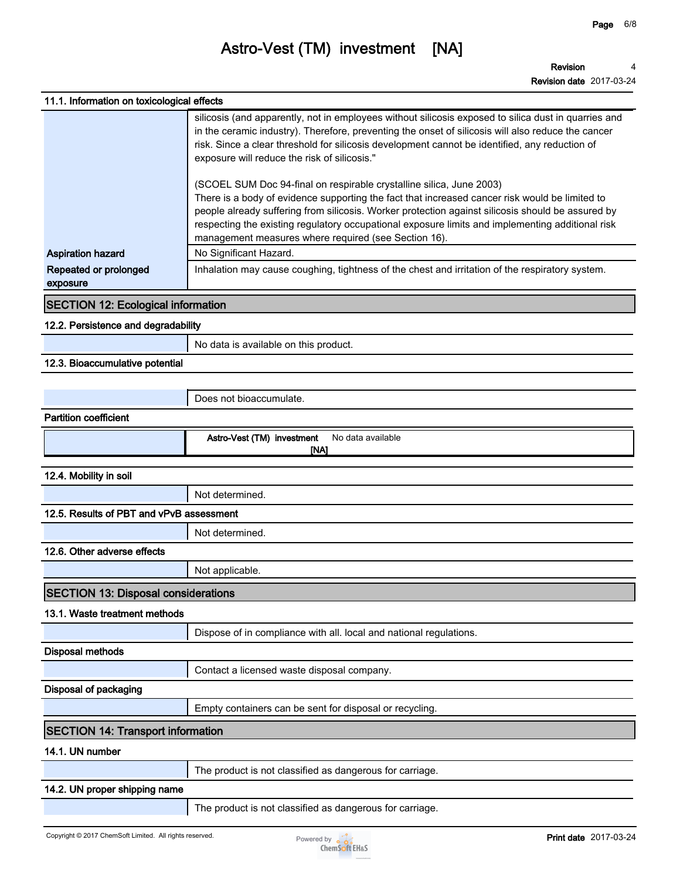**Revision date 2017-03-24**

|                                            | NGVISIUII UQIG ZUTITUJ-ZH                                                                                                                                                                                                                                                                                                                                                                                                               |
|--------------------------------------------|-----------------------------------------------------------------------------------------------------------------------------------------------------------------------------------------------------------------------------------------------------------------------------------------------------------------------------------------------------------------------------------------------------------------------------------------|
| 11.1. Information on toxicological effects |                                                                                                                                                                                                                                                                                                                                                                                                                                         |
|                                            | silicosis (and apparently, not in employees without silicosis exposed to silica dust in quarries and<br>in the ceramic industry). Therefore, preventing the onset of silicosis will also reduce the cancer<br>risk. Since a clear threshold for silicosis development cannot be identified, any reduction of<br>exposure will reduce the risk of silicosis."                                                                            |
|                                            | (SCOEL SUM Doc 94-final on respirable crystalline silica, June 2003)<br>There is a body of evidence supporting the fact that increased cancer risk would be limited to<br>people already suffering from silicosis. Worker protection against silicosis should be assured by<br>respecting the existing regulatory occupational exposure limits and implementing additional risk<br>management measures where required (see Section 16). |
| <b>Aspiration hazard</b>                   | No Significant Hazard.                                                                                                                                                                                                                                                                                                                                                                                                                  |
| Repeated or prolonged<br>exposure          | Inhalation may cause coughing, tightness of the chest and irritation of the respiratory system.                                                                                                                                                                                                                                                                                                                                         |
| <b>SECTION 12: Ecological information</b>  |                                                                                                                                                                                                                                                                                                                                                                                                                                         |
| 12.2. Persistence and degradability        |                                                                                                                                                                                                                                                                                                                                                                                                                                         |
|                                            | No data is available on this product.                                                                                                                                                                                                                                                                                                                                                                                                   |
| 12.3. Bioaccumulative potential            |                                                                                                                                                                                                                                                                                                                                                                                                                                         |
|                                            |                                                                                                                                                                                                                                                                                                                                                                                                                                         |
|                                            | Does not bioaccumulate.                                                                                                                                                                                                                                                                                                                                                                                                                 |
| <b>Partition coefficient</b>               |                                                                                                                                                                                                                                                                                                                                                                                                                                         |
|                                            | Astro-Vest (TM) investment<br>No data available                                                                                                                                                                                                                                                                                                                                                                                         |
|                                            | [NA]                                                                                                                                                                                                                                                                                                                                                                                                                                    |
| 12.4. Mobility in soil                     |                                                                                                                                                                                                                                                                                                                                                                                                                                         |
|                                            | Not determined.                                                                                                                                                                                                                                                                                                                                                                                                                         |
| 12.5. Results of PBT and vPvB assessment   |                                                                                                                                                                                                                                                                                                                                                                                                                                         |
|                                            | Not determined.                                                                                                                                                                                                                                                                                                                                                                                                                         |
| 12.6. Other adverse effects                |                                                                                                                                                                                                                                                                                                                                                                                                                                         |
|                                            | Not applicable.                                                                                                                                                                                                                                                                                                                                                                                                                         |
| <b>SECTION 13: Disposal considerations</b> |                                                                                                                                                                                                                                                                                                                                                                                                                                         |
| 13.1. Waste treatment methods              |                                                                                                                                                                                                                                                                                                                                                                                                                                         |
|                                            | Dispose of in compliance with all. local and national regulations.                                                                                                                                                                                                                                                                                                                                                                      |
| <b>Disposal methods</b>                    |                                                                                                                                                                                                                                                                                                                                                                                                                                         |
|                                            | Contact a licensed waste disposal company.                                                                                                                                                                                                                                                                                                                                                                                              |
| Disposal of packaging                      |                                                                                                                                                                                                                                                                                                                                                                                                                                         |
|                                            | Empty containers can be sent for disposal or recycling.                                                                                                                                                                                                                                                                                                                                                                                 |
| <b>SECTION 14: Transport information</b>   |                                                                                                                                                                                                                                                                                                                                                                                                                                         |
| 14.1. UN number                            |                                                                                                                                                                                                                                                                                                                                                                                                                                         |
|                                            | The product is not classified as dangerous for carriage.                                                                                                                                                                                                                                                                                                                                                                                |
| 14.2. UN proper shipping name              |                                                                                                                                                                                                                                                                                                                                                                                                                                         |
|                                            |                                                                                                                                                                                                                                                                                                                                                                                                                                         |

**The product is not classified as dangerous for carriage.**

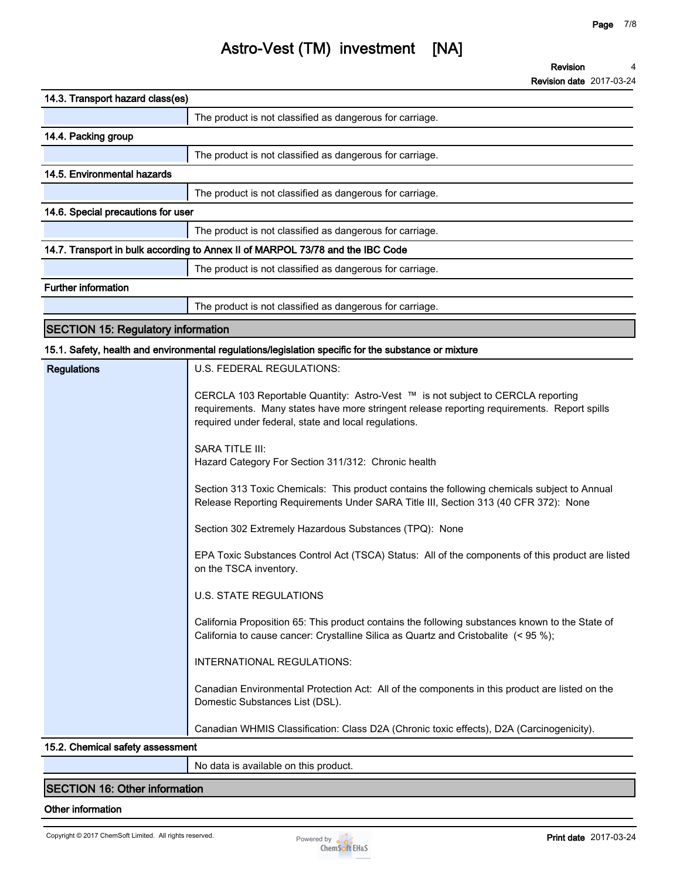**Revision date 2017-03-24**

**No data is available on this product.**

### **SECTION 16: Other information**

#### **Other information**